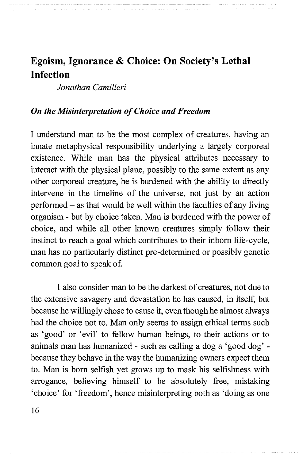# **Egoism, Ignorance & Choice: On Society's Lethal Infection**

*Jonathan Camilleri* 

#### *On the Misinterpretation of Choice and Freedom*

I understand man to be the most complex of creatures, having an innate metaphysical responsibility underlying a largely corporeal existence. While man has the physical attributes necessary to interact with the physical plane, possibly to the same extent as any other corporeal creature, he is burdened with the ability to directly intervene in the time line of the universe, not just by an action performed  $-$  as that would be well within the faculties of any living organism - but by choice taken. Man is burdened with the power of choice, and while all other known creatures simply follow their instinct to reach a goal which contributes to their inborn life-cycle, man has no particularly distinct pre-determined or possibly genetic common goal to speak of

I also consider man to be the darkest of creatures, not due to the extensive savagery and devastation he has caused, in itself, but because he willingly chose to cause it, even though he almost always had the choice not to. Man only seems to assign ethical terms such as 'good' or 'evil' to fellow human beings, to their actions or to animals man has humanized - such as calling a dog a 'good dog' because they behave in the way the humanizing owners expect them to. Man is born selfish yet grows up to mask his selfishness with arrogance, believing himself to be absolutely free, mistaking 'choice' for 'freedom', hence misinterpreting both as 'doing as one

16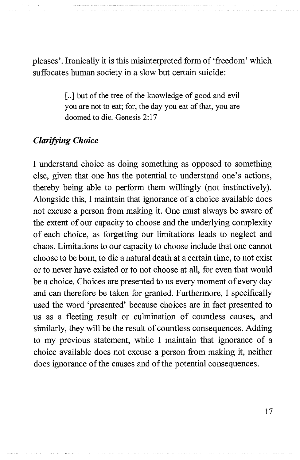pleases'. Ironically it is this misinterpreted form of 'freedom' which suffocates human society in a slow but certain suicide:

> [..] but of the tree of the knowledge of good and evil you are not to eat; for, the day you eat of that, you are doomed to die. Genesis 2:17

## *Clarifying Choice*

I understand choice as doing something as opposed to something else, given that one has the potential to understand one's actions, thereby being able to perform them willingly (not instinctively). Alongside this, I maintain that ignorance of a choice available does not excuse a person from making it. One must always be aware of the extent of our capacity to choose and the underlying complexity of each choice, as forgetting our limitations leads to neglect and chaos. Limitations to our capacity to choose include that one cannot choose to be born, to die a natural death at a certain time, to not exist or to never have existed or to not choose at all, for even that would be a choice. Choices are presented to us every moment of every day and can therefore be taken for granted. Furthermore, I specifically used the word 'presented' because choices are in fact presented to us as a fleeting result or culmination of countless causes, and similarly, they will be the result of countless consequences. Adding to my previous statement, while I maintain that ignorance of a choice available does not excuse a person from making it, neither does ignorance of the causes and of the potential consequences.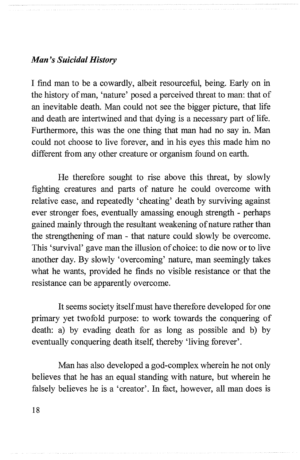#### *Man's Suicidal History*

I find man to be a cowardly, albeit resourceful, being. Early on in the history of man, 'nature' posed a perceived threat to man: that of an inevitable death. Man could not see the bigger picture, that life and death are intertwined and that dying is a necessary part of life. Furthermore, this was the one thing that man had no say in. Man could not choose to live forever, and in his eyes this made him no different from any other creature or organism found on earth.

He therefore sought to rise above this threat, by slowly fighting creatures and parts of nature he could overcome with relative ease, and repeatedly 'cheating' death by surviving against ever stronger foes, eventually amassing enough strength - perhaps gained mainly through the resultant weakening of nature rather than the strengthening of man - that nature could slowly be overcome. This 'survival' gave man the illusion of choice: to die now or to live another day. By slowly 'overcoming' nature, man seemingly takes what he wants, provided he finds no visible resistance or that the resistance can be apparently overcome.

It seems society itself must have therefore developed for one primary yet twofold purpose: to work towards the conquering of death: a) by evading death for as long as possible and b) by eventually conquering death itself, thereby 'living forever'.

Man has also developed a god-complex wherein he not only believes that he has an equal standing with nature, but wherein he falsely believes he is a 'creator'. In fact, however, all man does is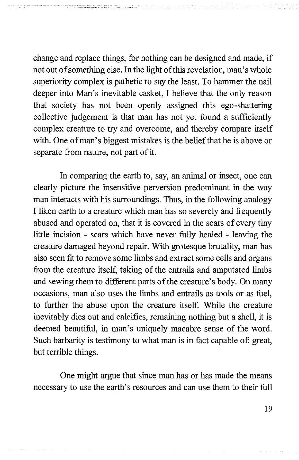change and replace things, for nothing can be designed and made, if not out of something else. **In** the light ofthis revelation, man's whole superiority complex is pathetic to say the least. To hammer the nail deeper into Man's inevitable casket, I believe that the only reason that society has not been openly assigned this ego-shattering collective judgement is that man has not yet found a sufficiently complex creature to try and overcome, and thereby compare itself with. One of man's biggest mistakes is the belief that he is above or separate from nature, not part of it.

**In** comparing the earth to, say, an animal or insect, one can clearly picture the insensitive perversion predominant in the way man interacts with his surroundings. Thus, in the following analogy I liken earth to a creature which man has so severely and frequently abused and operated on, that it is covered in the scars of every tiny little incision - scars which have never fully healed - leaving the creature damaged beyond repair. With grotesque brutality, man has also seen fit to remove some limbs and extract some cells and organs from the creature itself, taking of the entrails and amputated limbs and sewing them to different parts of the creature's body. On many occasions, man also uses the limbs and entrails as tools or as fuel, to further the abuse upon the creature itself. While the creature inevitably dies out and calcifies, remaining nothing but a shell, it is deemed beautiful, in man's uniquely macabre sense of the word. Such barbarity is testimony to what man is in fact capable of: great, but terrible things.

One might argue that since man has or has made the means necessary to use the earth's resources and can use them to their full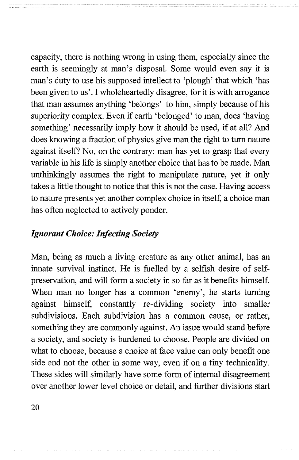capacity, there is nothing wrong in using them, especially since the earth is seemingly at man's disposal. Some would even say it is man's duty to use his supposed intellect to 'plough' that which 'has been given to us'. I wholeheartedly disagree, for it is with arrogance that man assumes anything 'belongs' to him, simply because of his superiority complex. Even if earth 'belonged' to man, does 'having something' necessarily imply how it should be used, if at all? And does knowing a fraction of physics give man the right to turn nature against itself? No, on the contrary: man has yet to grasp that every variable in his life is simply another choice that has to be made. Man unthinkingly assumes the right to manipulate nature, yet it only takes a little thought to notice that this is not the case. Having access to nature presents yet another complex choice in itself, a choice man has often neglected to actively ponder.

## *Ignorant Choice: Infecting Society*

Man, being as much a living creature as any other animal, has an innate survival instinct. He is fuelled by a selfish desire of selfpreservation, and will form a society in so far as it benefits himself. When man no longer has a common 'enemy', he starts turning against himself, constantly re-dividing society into smaller subdivisions. Each subdivision has a common cause, or rather, something they are commonly against. An issue would stand before a society, and society is burdened to choose. People are divided on what to choose, because a choice at face value can only benefit one side and not the other in some way, even if on a tiny technicality. These sides will similarly have some form of internal disagreement over another lower level choice or detail, and further divisions start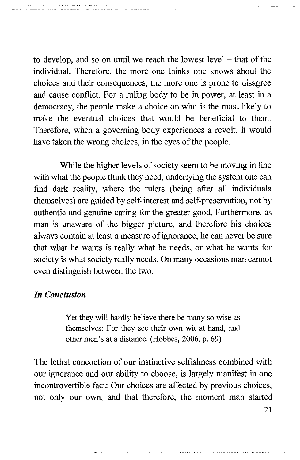to develop, and so on until we reach the lowest level – that of the individual. Therefore, the more one thinks one knows about the choices and their consequences, the more one is prone to disagree and cause conflict. For a ruling body to be in power, at least in a democracy, the people make a choice on who is the most likely to make the eventual choices that would be beneficial to them. Therefore, when a governing body experiences a revolt, it would have taken the wrong choices, in the eyes of the people.

While the higher levels of society seem to be moving in line with what the people think they need, underlying the system one can find dark reality, where the rulers (being after all individuals themselves) are guided by self-interest and self-preservation, not by authentic and genuine caring for the greater good. Furthermore, as man is unaware of the bigger picture, and therefore his choices always contain at least a measure of ignorance, he can never be sure that what he wants is really what he needs, or what he wants for society is what society really needs. On many occasions man cannot even distinguish between the two.

### *In Conclusion*

Yet they will hardly believe there be many so wise as themselves: For they see their own wit at hand, and other men's at a distance. (Hobbes, 2006, p. 69)

The lethal concoction of our instinctive selfishness combined with our ignorance and our ability to choose, is largely manifest in one incontrovertible fact: Our choices are affected by previous choices, not only our own, and that therefore, the moment man started